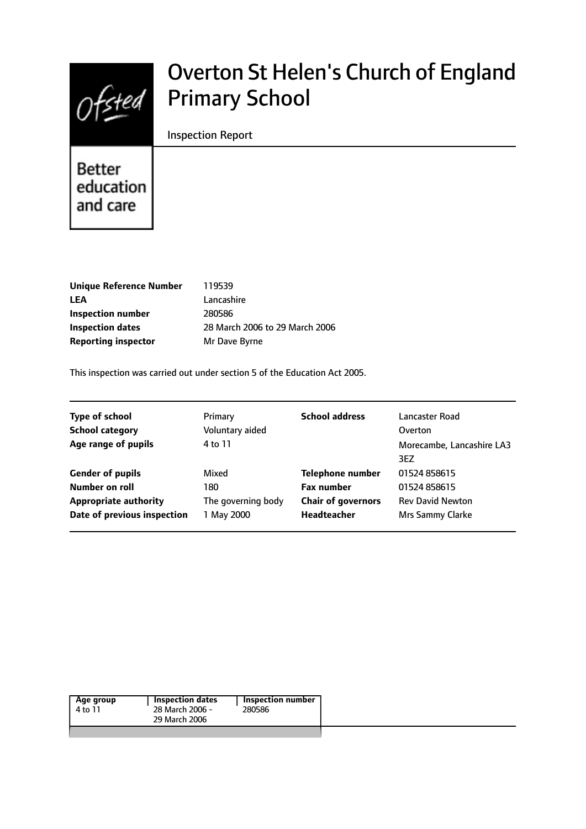

# Overton St Helen's Church of England Primary School

#### Inspection Report

Better education and care

| Unique Reference Number    | 119539                         |
|----------------------------|--------------------------------|
| <b>LEA</b>                 | Lancashire                     |
| Inspection number          | 280586                         |
| <b>Inspection dates</b>    | 28 March 2006 to 29 March 2006 |
| <b>Reporting inspector</b> | Mr Dave Byrne                  |
|                            |                                |

This inspection was carried out under section 5 of the Education Act 2005.

| <b>Type of school</b>        | Primary            | <b>School address</b>     | Lancaster Road                   |
|------------------------------|--------------------|---------------------------|----------------------------------|
| <b>School category</b>       | Voluntary aided    |                           | Overton                          |
| Age range of pupils          | 4 to 11            |                           | Morecambe, Lancashire LA3<br>3EZ |
| <b>Gender of pupils</b>      | Mixed              | <b>Telephone number</b>   | 01524 858615                     |
| Number on roll               | 180                | <b>Fax number</b>         | 01524 858615                     |
| <b>Appropriate authority</b> | The governing body | <b>Chair of governors</b> | <b>Rev David Newton</b>          |
| Date of previous inspection  | 1 May 2000         | <b>Headteacher</b>        | Mrs Sammy Clarke                 |
|                              |                    |                           |                                  |

| Age group<br>4 to 11 | <b>Inspection dates</b><br>28 March 2006 -<br>29 March 2006 | <b>Inspection number</b><br>280586 |
|----------------------|-------------------------------------------------------------|------------------------------------|
|                      |                                                             |                                    |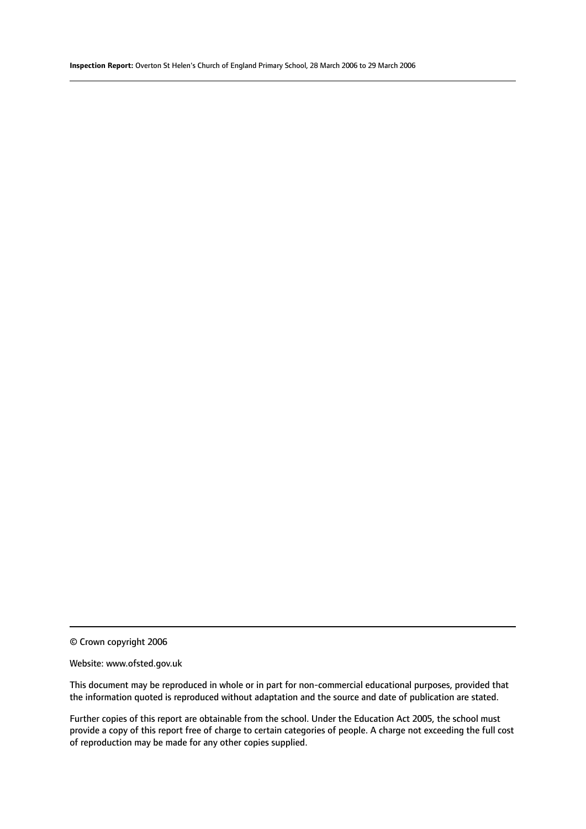© Crown copyright 2006

#### Website: www.ofsted.gov.uk

This document may be reproduced in whole or in part for non-commercial educational purposes, provided that the information quoted is reproduced without adaptation and the source and date of publication are stated.

Further copies of this report are obtainable from the school. Under the Education Act 2005, the school must provide a copy of this report free of charge to certain categories of people. A charge not exceeding the full cost of reproduction may be made for any other copies supplied.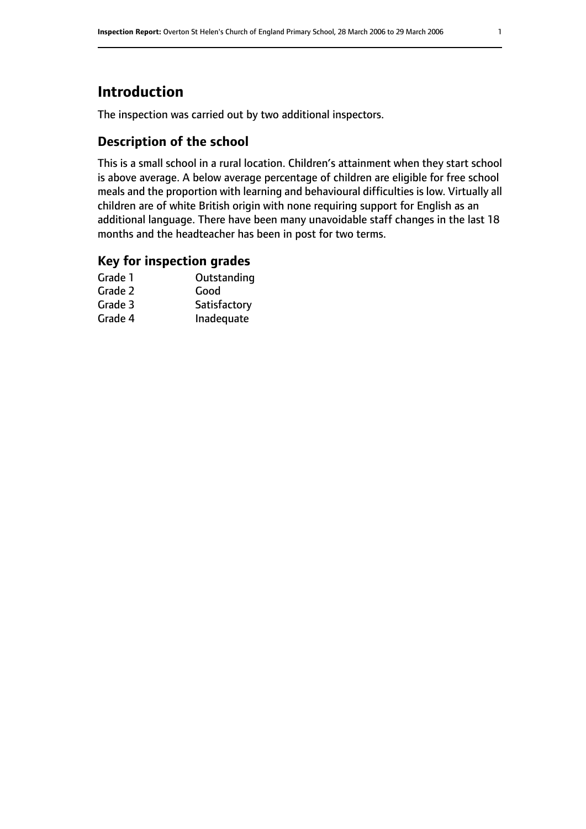# **Introduction**

The inspection was carried out by two additional inspectors.

# **Description of the school**

This is a small school in a rural location. Children's attainment when they start school is above average. A below average percentage of children are eligible for free school meals and the proportion with learning and behavioural difficulties is low. Virtually all children are of white British origin with none requiring support for English as an additional language. There have been many unavoidable staff changes in the last 18 months and the headteacher has been in post for two terms.

#### **Key for inspection grades**

| Grade 1 | Outstanding  |
|---------|--------------|
| Grade 2 | Good         |
| Grade 3 | Satisfactory |
| Grade 4 | Inadequate   |
|         |              |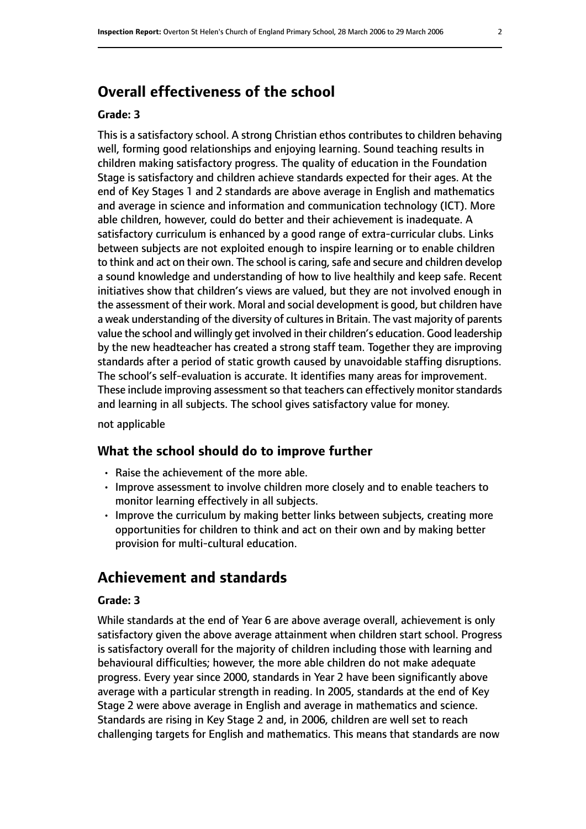# **Overall effectiveness of the school**

#### **Grade: 3**

This is a satisfactory school. A strong Christian ethos contributes to children behaving well, forming good relationships and enjoying learning. Sound teaching results in children making satisfactory progress. The quality of education in the Foundation Stage is satisfactory and children achieve standards expected for their ages. At the end of Key Stages 1 and 2 standards are above average in English and mathematics and average in science and information and communication technology (ICT). More able children, however, could do better and their achievement is inadequate. A satisfactory curriculum is enhanced by a good range of extra-curricular clubs. Links between subjects are not exploited enough to inspire learning or to enable children to think and act on their own. The school is caring, safe and secure and children develop a sound knowledge and understanding of how to live healthily and keep safe. Recent initiatives show that children's views are valued, but they are not involved enough in the assessment of their work. Moral and social development is good, but children have a weak understanding of the diversity of cultures in Britain. The vast majority of parents value the school and willingly get involved in their children's education. Good leadership by the new headteacher has created a strong staff team. Together they are improving standards after a period of static growth caused by unavoidable staffing disruptions. The school's self-evaluation is accurate. It identifies many areas for improvement. These include improving assessment so that teachers can effectively monitor standards and learning in all subjects. The school gives satisfactory value for money.

not applicable

#### **What the school should do to improve further**

- Raise the achievement of the more able.
- Improve assessment to involve children more closely and to enable teachers to monitor learning effectively in all subjects.
- Improve the curriculum by making better links between subjects, creating more opportunities for children to think and act on their own and by making better provision for multi-cultural education.

# **Achievement and standards**

#### **Grade: 3**

While standards at the end of Year 6 are above average overall, achievement is only satisfactory given the above average attainment when children start school. Progress is satisfactory overall for the majority of children including those with learning and behavioural difficulties; however, the more able children do not make adequate progress. Every year since 2000, standards in Year 2 have been significantly above average with a particular strength in reading. In 2005, standards at the end of Key Stage 2 were above average in English and average in mathematics and science. Standards are rising in Key Stage 2 and, in 2006, children are well set to reach challenging targets for English and mathematics. This means that standards are now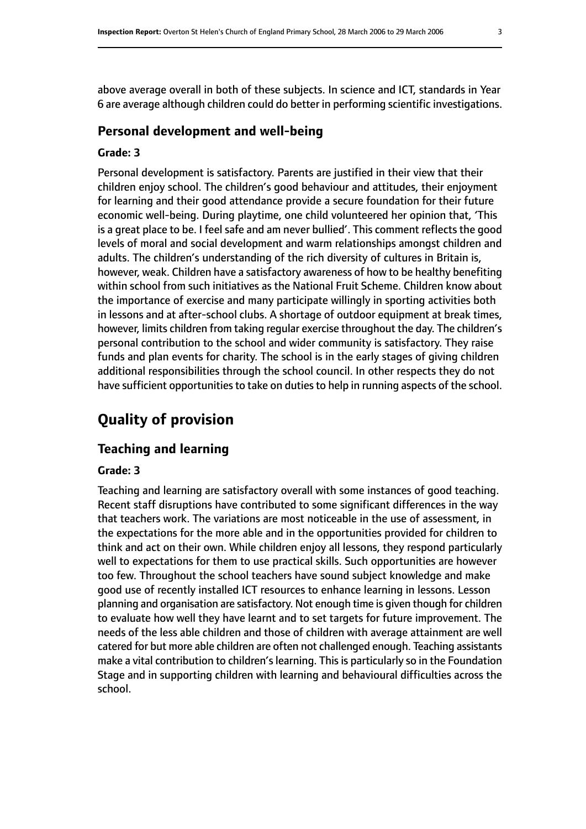above average overall in both of these subjects. In science and ICT, standards in Year 6 are average although children could do better in performing scientific investigations.

#### **Personal development and well-being**

#### **Grade: 3**

Personal development is satisfactory. Parents are justified in their view that their children enjoy school. The children's good behaviour and attitudes, their enjoyment for learning and their good attendance provide a secure foundation for their future economic well-being. During playtime, one child volunteered her opinion that, 'This is a great place to be. I feel safe and am never bullied'. This comment reflects the good levels of moral and social development and warm relationships amongst children and adults. The children's understanding of the rich diversity of cultures in Britain is, however, weak. Children have a satisfactory awareness of how to be healthy benefiting within school from such initiatives as the National Fruit Scheme. Children know about the importance of exercise and many participate willingly in sporting activities both in lessons and at after-school clubs. A shortage of outdoor equipment at break times, however, limits children from taking regular exercise throughout the day. The children's personal contribution to the school and wider community is satisfactory. They raise funds and plan events for charity. The school is in the early stages of giving children additional responsibilities through the school council. In other respects they do not have sufficient opportunities to take on duties to help in running aspects of the school.

# **Quality of provision**

#### **Teaching and learning**

#### **Grade: 3**

Teaching and learning are satisfactory overall with some instances of good teaching. Recent staff disruptions have contributed to some significant differences in the way that teachers work. The variations are most noticeable in the use of assessment, in the expectations for the more able and in the opportunities provided for children to think and act on their own. While children enjoy all lessons, they respond particularly well to expectations for them to use practical skills. Such opportunities are however too few. Throughout the school teachers have sound subject knowledge and make good use of recently installed ICT resources to enhance learning in lessons. Lesson planning and organisation are satisfactory. Not enough time is given though for children to evaluate how well they have learnt and to set targets for future improvement. The needs of the less able children and those of children with average attainment are well catered for but more able children are often not challenged enough. Teaching assistants make a vital contribution to children's learning. This is particularly so in the Foundation Stage and in supporting children with learning and behavioural difficulties across the school.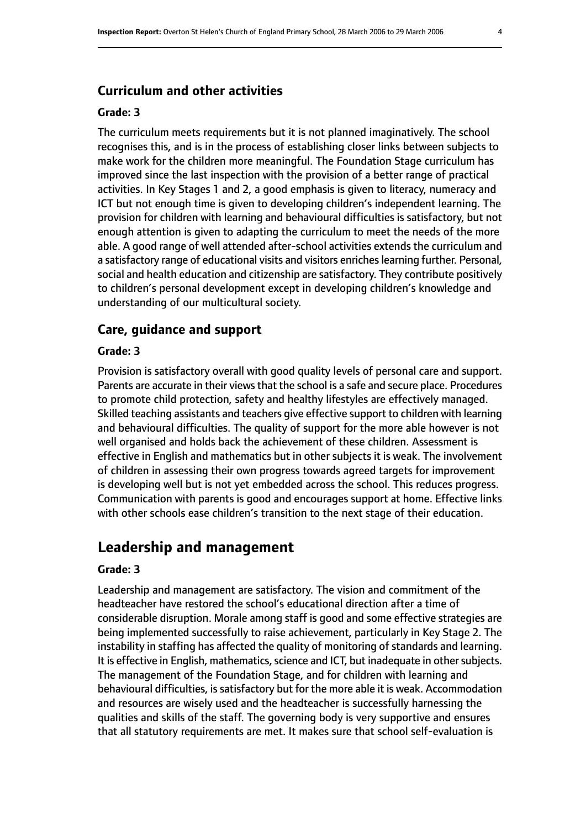#### **Curriculum and other activities**

#### **Grade: 3**

The curriculum meets requirements but it is not planned imaginatively. The school recognises this, and is in the process of establishing closer links between subjects to make work for the children more meaningful. The Foundation Stage curriculum has improved since the last inspection with the provision of a better range of practical activities. In Key Stages 1 and 2, a good emphasis is given to literacy, numeracy and ICT but not enough time is given to developing children's independent learning. The provision for children with learning and behavioural difficulties is satisfactory, but not enough attention is given to adapting the curriculum to meet the needs of the more able. A good range of well attended after-school activities extends the curriculum and a satisfactory range of educational visits and visitors enriches learning further. Personal, social and health education and citizenship are satisfactory. They contribute positively to children's personal development except in developing children's knowledge and understanding of our multicultural society.

#### **Care, guidance and support**

#### **Grade: 3**

Provision is satisfactory overall with good quality levels of personal care and support. Parents are accurate in their views that the school is a safe and secure place. Procedures to promote child protection, safety and healthy lifestyles are effectively managed. Skilled teaching assistants and teachers give effective support to children with learning and behavioural difficulties. The quality of support for the more able however is not well organised and holds back the achievement of these children. Assessment is effective in English and mathematics but in other subjects it is weak. The involvement of children in assessing their own progress towards agreed targets for improvement is developing well but is not yet embedded across the school. This reduces progress. Communication with parents is good and encourages support at home. Effective links with other schools ease children's transition to the next stage of their education.

# **Leadership and management**

#### **Grade: 3**

Leadership and management are satisfactory. The vision and commitment of the headteacher have restored the school's educational direction after a time of considerable disruption. Morale among staff is good and some effective strategies are being implemented successfully to raise achievement, particularly in Key Stage 2. The instability in staffing has affected the quality of monitoring of standards and learning. It is effective in English, mathematics, science and ICT, but inadequate in other subjects. The management of the Foundation Stage, and for children with learning and behavioural difficulties, is satisfactory but for the more able it is weak. Accommodation and resources are wisely used and the headteacher is successfully harnessing the qualities and skills of the staff. The governing body is very supportive and ensures that all statutory requirements are met. It makes sure that school self-evaluation is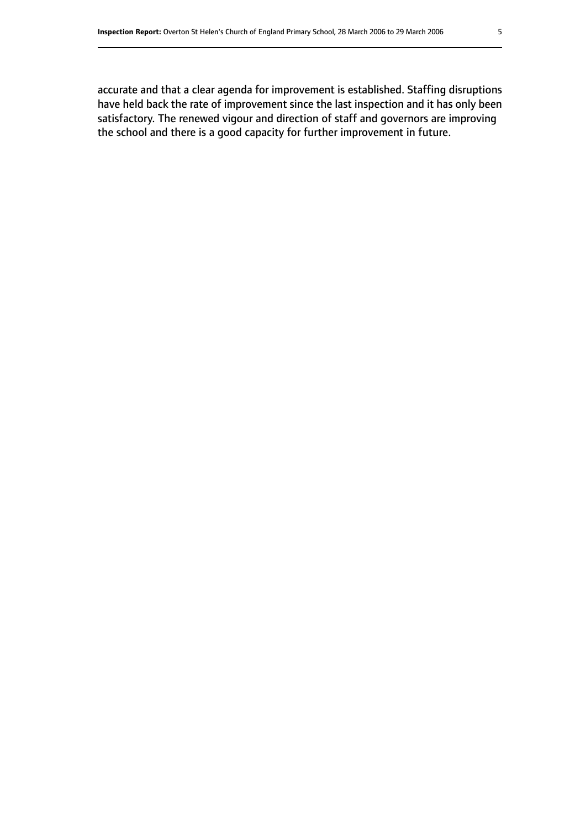accurate and that a clear agenda for improvement is established. Staffing disruptions have held back the rate of improvement since the last inspection and it has only been satisfactory. The renewed vigour and direction of staff and governors are improving the school and there is a good capacity for further improvement in future.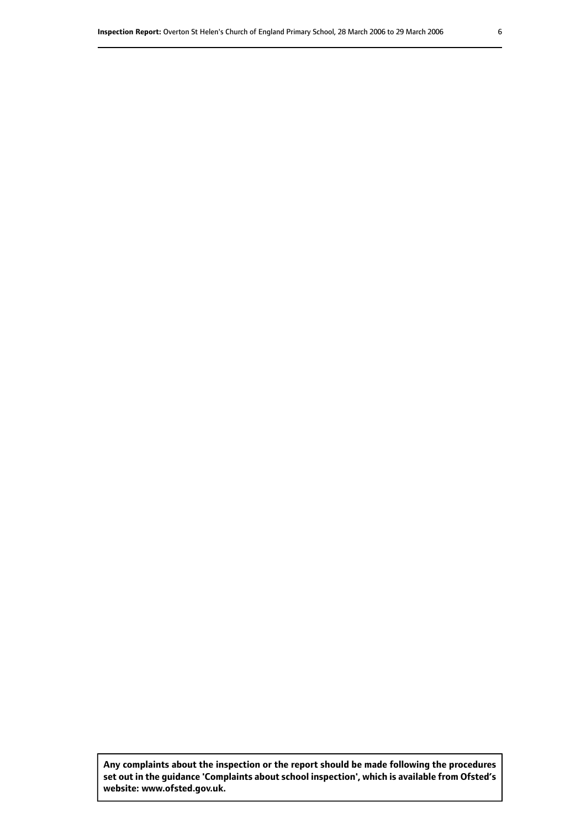**Any complaints about the inspection or the report should be made following the procedures set out inthe guidance 'Complaints about school inspection', whichis available from Ofsted's website: www.ofsted.gov.uk.**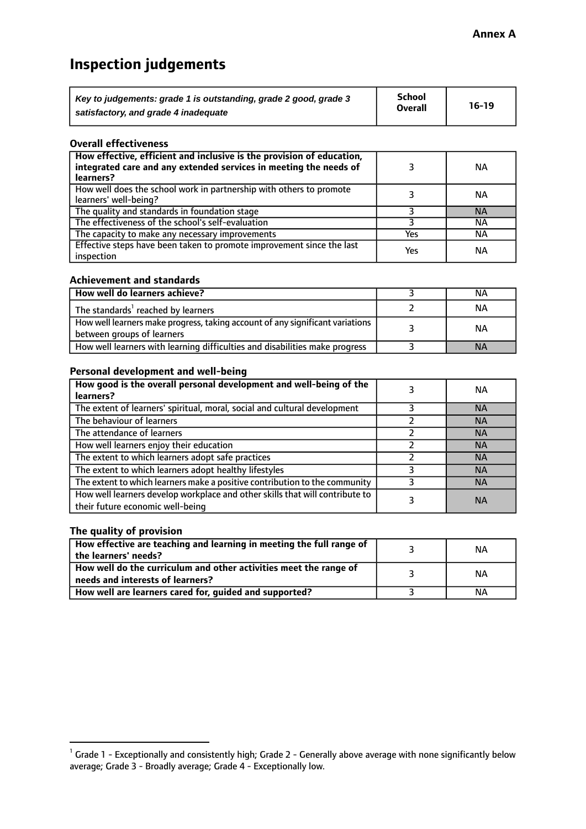# **Inspection judgements**

| Key to judgements: grade 1 is outstanding, grade 2 good, grade 3 | <b>School</b>  | $16-19$ |
|------------------------------------------------------------------|----------------|---------|
| satisfactory, and grade 4 inadequate                             | <b>Overall</b> |         |

#### **Overall effectiveness**

| How effective, efficient and inclusive is the provision of education,<br>integrated care and any extended services in meeting the needs of<br>learners? |     | <b>NA</b> |
|---------------------------------------------------------------------------------------------------------------------------------------------------------|-----|-----------|
| How well does the school work in partnership with others to promote<br>learners' well-being?                                                            |     | ΝA        |
| The quality and standards in foundation stage                                                                                                           |     | <b>NA</b> |
| The effectiveness of the school's self-evaluation                                                                                                       |     | ΝA        |
| The capacity to make any necessary improvements                                                                                                         | Yes | NА        |
| Effective steps have been taken to promote improvement since the last<br>inspection                                                                     | Yes | <b>NA</b> |

#### **Achievement and standards**

| How well do learners achieve?                                                                               | ΝA        |
|-------------------------------------------------------------------------------------------------------------|-----------|
| The standards <sup>1</sup> reached by learners                                                              | ΝA        |
| How well learners make progress, taking account of any significant variations<br>between groups of learners | <b>NA</b> |
| How well learners with learning difficulties and disabilities make progress                                 | <b>NA</b> |

#### **Personal development and well-being**

| How good is the overall personal development and well-being of the<br>learners?                                  | ΝA        |
|------------------------------------------------------------------------------------------------------------------|-----------|
| The extent of learners' spiritual, moral, social and cultural development                                        | <b>NA</b> |
| The behaviour of learners                                                                                        | <b>NA</b> |
| The attendance of learners                                                                                       | <b>NA</b> |
| How well learners enjoy their education                                                                          | <b>NA</b> |
| The extent to which learners adopt safe practices                                                                | <b>NA</b> |
| The extent to which learners adopt healthy lifestyles                                                            | <b>NA</b> |
| The extent to which learners make a positive contribution to the community                                       | <b>NA</b> |
| How well learners develop workplace and other skills that will contribute to<br>their future economic well-being | <b>NA</b> |

#### **The quality of provision**

| How effective are teaching and learning in meeting the full range of<br>the learners' needs?          | ΝA |
|-------------------------------------------------------------------------------------------------------|----|
| How well do the curriculum and other activities meet the range of<br>needs and interests of learners? | ΝA |
| How well are learners cared for, guided and supported?                                                | NА |

 $^1$  Grade 1 - Exceptionally and consistently high; Grade 2 - Generally above average with none significantly below average; Grade 3 - Broadly average; Grade 4 - Exceptionally low.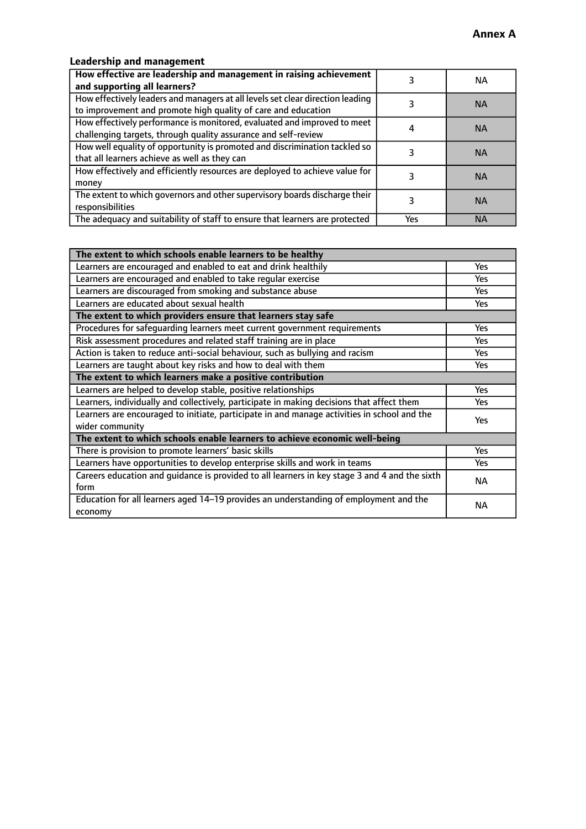# **Leadership and management**

| How effective are leadership and management in raising achievement<br>and supporting all learners?                                              |     | NA.       |
|-------------------------------------------------------------------------------------------------------------------------------------------------|-----|-----------|
| How effectively leaders and managers at all levels set clear direction leading<br>to improvement and promote high quality of care and education |     | <b>NA</b> |
| How effectively performance is monitored, evaluated and improved to meet<br>challenging targets, through quality assurance and self-review      |     | <b>NA</b> |
| How well equality of opportunity is promoted and discrimination tackled so<br>that all learners achieve as well as they can                     |     | <b>NA</b> |
| How effectively and efficiently resources are deployed to achieve value for<br>money                                                            |     | <b>NA</b> |
| The extent to which governors and other supervisory boards discharge their<br>responsibilities                                                  |     | <b>NA</b> |
| The adequacy and suitability of staff to ensure that learners are protected                                                                     | Yes | <b>NA</b> |

| The extent to which schools enable learners to be healthy                                     |            |
|-----------------------------------------------------------------------------------------------|------------|
| Learners are encouraged and enabled to eat and drink healthily                                | Yes        |
| Learners are encouraged and enabled to take regular exercise                                  | Yes        |
| Learners are discouraged from smoking and substance abuse                                     | <b>Yes</b> |
| Learners are educated about sexual health                                                     | <b>Yes</b> |
| The extent to which providers ensure that learners stay safe                                  |            |
| Procedures for safequarding learners meet current government requirements                     | Yes        |
| Risk assessment procedures and related staff training are in place                            | Yes        |
| Action is taken to reduce anti-social behaviour, such as bullying and racism                  | Yes        |
| Learners are taught about key risks and how to deal with them                                 | <b>Yes</b> |
| The extent to which learners make a positive contribution                                     |            |
| Learners are helped to develop stable, positive relationships                                 | Yes        |
| Learners, individually and collectively, participate in making decisions that affect them     | Yes        |
| Learners are encouraged to initiate, participate in and manage activities in school and the   | <b>Yes</b> |
| wider community                                                                               |            |
| The extent to which schools enable learners to achieve economic well-being                    |            |
| There is provision to promote learners' basic skills                                          | Yes        |
| Learners have opportunities to develop enterprise skills and work in teams                    | <b>Yes</b> |
| Careers education and guidance is provided to all learners in key stage 3 and 4 and the sixth | <b>NA</b>  |
| form                                                                                          |            |
| Education for all learners aged 14-19 provides an understanding of employment and the         | NА         |
| economy                                                                                       |            |